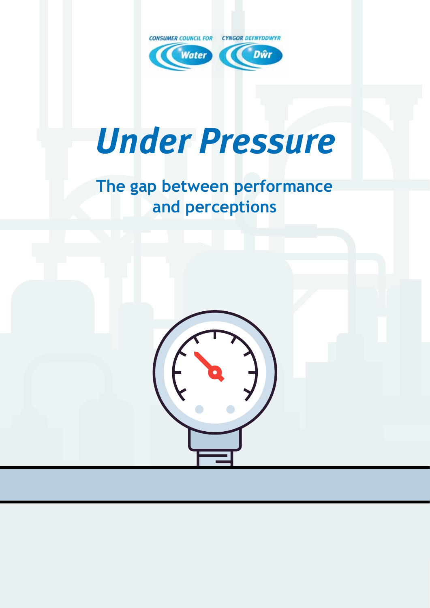

# *Under Pressure*

## **The gap between performance and perceptions**

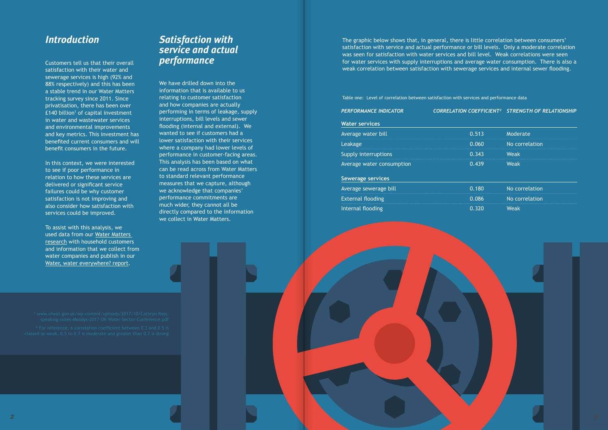#### *Introduction*

In this context, we were interested to see if poor performance in relation to how these services are delivered or significant service failures could be why customer satisfaction is not improving and also consider how satisfaction with services could be improved.

Customers tell us that their overall satisfaction with their water and sewerage services is high (92% and 88% respectively) and this has been a stable trend in our Water Matters tracking survey since 2011. Since privatisation, there has been over £140 billion<sup>1</sup> of capital investment in water and wastewater services and environmental improvements and key metrics. This investment has benefited current consumers and will benefit consumers in the future.

To assist with this analysis, we used data from our [Water Matters](https://www.ccwater.org.uk/research/water-matters-household-customers-views-of-their-water-and-sewerage-services-2017/)  [research](https://www.ccwater.org.uk/research/water-matters-household-customers-views-of-their-water-and-sewerage-services-2017/) with household customers and information that we collect from water companies and publish in our [Water, water everywhere? report.](https://www.ccwater.org.uk/wp-content/uploads/2018/08/Water-water-everywhere-delivering-resilient-water-and-waste-water-services-2017-18.pdf)

We have drilled down into the information that is available to us relating to customer satisfaction and how companies are actually performing in terms of leakage, supply interruptions, bill levels and sewer flooding (internal and external). We wanted to see if customers had a lower satisfaction with their services where a company had lower levels of performance in customer-facing areas. This analysis has been based on what can be read across from Water Matters to standard relevant performance measures that we capture, although we acknowledge that companies' performance commitments are much wider, they cannot all be directly compared to the information we collect in Water Matters.

#### *Satisfaction with service and actual performance*

The graphic below shows that, in general, there is little correlation between consumers' satisfaction with service and actual performance or bill levels. Only a moderate correlation was seen for satisfaction with water services and bill level. Weak correlations were seen for water services with supply interruptions and average water consumption. There is also a weak correlation between satisfaction with sewerage services and internal sewer flooding.

Table one: Level of correlation between satisfaction with services and performance data

#### *PERFORMANCE INDICATOR CORRELATION COEFFICIENT2 STRENGTH OF RELATIONSHIP*

**Water services**

| Average water bill        | 0.513 | Moderate       |  |
|---------------------------|-------|----------------|--|
| Leakage                   | 0.060 | No correlation |  |
| Supply interruptions      | 0.343 | <b>Weak</b>    |  |
| Average water consumption | 0.439 | <b>Weak</b>    |  |
| <b>Sewerage services</b>  |       |                |  |
| Average sewerage bill     | 0.180 | No correlation |  |
| <b>External flooding</b>  | 0.086 | No correlation |  |
| Internal flooding         | 0.320 | <b>Weak</b>    |  |

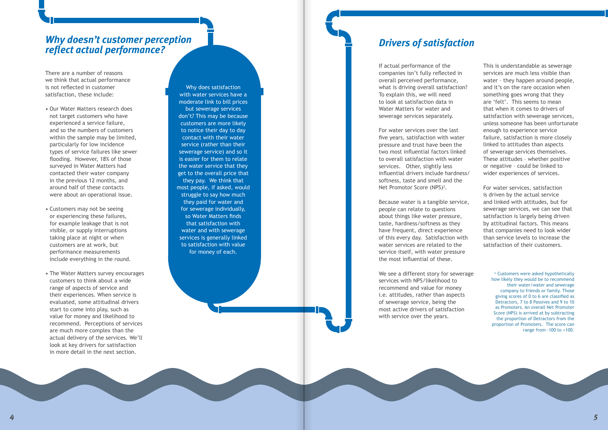### *Why doesn't customer perception reflect actual performance?*

There are a number of reasons we think that actual performance is not reflected in customer satisfaction, these include:

- Our Water Matters research does not target customers who have experienced a service failure, and so the numbers of customers within the sample may be limited, particularly for low incidence types of service failures like sewer flooding. However, 18% of those surveyed in Water Matters had contacted their water company in the previous 12 months, and around half of these contacts were about an operational issue.
- Customers may not be seeing or experiencing these failures, for example leakage that is not visible, or supply interruptions taking place at night or when customers are at work, but performance measurements include everything in the round.
- The Water Matters survey encourages customers to think about a wide range of aspects of service and their experiences. When service is evaluated, some attitudinal drivers start to come into play, such as value for money and likelihood to recommend. Perceptions of services are much more complex than the actual delivery of the services. We'll look at key drivers for satisfaction in more detail in the next section.

For water services over the last five years, satisfaction with water pressure and trust have been the two most influential factors linked to overall satisfaction with water services. Other, slightly less influential drivers include hardness/ softness, taste and smell and the Net Promotor Score (NPS)<sup>3</sup>.

Why does satisfaction with water services have a moderate link to bill prices but sewerage services don't? This may be because customers are more likely to notice their day to day contact with their water service (rather than their sewerage service) and so it is easier for them to relate the water service that they get to the overall price that they pay. We think that most people, if asked, would struggle to say how much they paid for water and for sewerage individually, so Water Matters finds that satisfaction with water and with sewerage services is generally linked to satisfaction with value for money of each.

#### *Drivers of satisfaction*

If actual performance of the companies isn't fully reflected in overall perceived performance, what is driving overall satisfaction? To explain this, we will need to look at satisfaction data in Water Matters for water and sewerage services separately.

> <sup>3.</sup> Customers were asked hypothetically how likely they would be to recommend their water/water and sewerage company to friends or family. Those giving scores of 0 to 6 are classified as Detractors, 7 to 8 Passives and 9 to 10 as Promoters. An overall Net Promoter Score (NPS) is arrived at by subtracting the proportion of Detractors from the proportion of Promoters. The score can range from -100 to +100.

Because water is a tangible service, people can relate to questions about things like water pressure, taste, hardness/softness as they have frequent, direct experience of this every day. Satisfaction with water services are related to the service itself, with water pressure the most influential of these.

We see a different story for sewerage services with NPS/likelihood to recommend and value for money i.e. attitudes, rather than aspects of sewerage service, being the most active drivers of satisfaction with service over the years.

This is understandable as sewerage services are much less visible than water – they happen around people, and it's on the rare occasion when something goes wrong that they are 'felt'. This seems to mean that when it comes to drivers of satisfaction with sewerage services, unless someone has been unfortunate enough to experience service failure, satisfaction is more closely linked to attitudes than aspects of sewerage services themselves. These attitudes – whether positive or negative – could be linked to wider experiences of services.

For water services, satisfaction is driven by the actual service and linked with attitudes, but for sewerage services, we can see that satisfaction is largely being driven by attitudinal factors. This means that companies need to look wider than service levels to increase the satisfaction of their customers.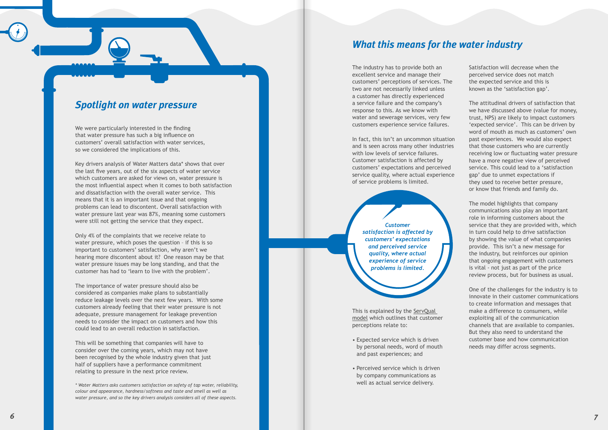### *What this means for the water industry*

The industry has to provide both an excellent service and manage their customers' perceptions of services. The two are not necessarily linked unless a customer has directly experienced a service failure and the company's response to this. As we know with water and sewerage services, very few customers experience service failures.

In fact, this isn't an uncommon situation and is seen across many other industries with low levels of service failures. Customer satisfaction is affected by customers' expectations and perceived service quality, where actual experience of service problems is limited.

> *Customer satisfaction is affected by customers' expectations and perceived service quality, where actual experience of service problems is limited.*

This is explained by the [ServQual](https://www.toolshero.com/quality-management/servqual-model/)  [model](https://www.toolshero.com/quality-management/servqual-model/) which outlines that customer perceptions relate to:

- Expected service which is driven by personal needs, word of mouth and past experiences; and
- Perceived service which is driven by company communications as well as actual service delivery.

Satisfaction will decrease when the perceived service does not match the expected service and this is known as the 'satisfaction gap'.

The attitudinal drivers of satisfaction that we have discussed above (value for money, trust, NPS) are likely to impact customers 'expected service'. This can be driven by word of mouth as much as customers' own past experiences. We would also expect that those customers who are currently receiving low or fluctuating water pressure have a more negative view of perceived service. This could lead to a 'satisfaction gap' due to unmet expectations if they used to receive better pressure, or know that friends and family do.

The model highlights that company communications also play an important role in informing customers about the service that they are provided with, which in turn could help to drive satisfaction by showing the value of what companies provide. This isn't a new message for the industry, but reinforces our opinion that ongoing engagement with customers is vital - not just as part of the price review process, but for business as usual.

One of the challenges for the industry is to innovate in their customer communications to create information and messages that make a difference to consumers, while exploiting all of the communication channels that are available to companies. But they also need to understand the customer base and how communication needs may differ across segments.

### *Spotlight on water pressure*

We were particularly interested in the finding that water pressure has such a big influence on customers' overall satisfaction with water services, so we considered the implications of this.

Key drivers analysis of Water Matters data\* shows that over the last five years, out of the six aspects of water service which customers are asked for views on, water pressure is the most influential aspect when it comes to both satisfaction and dissatisfaction with the overall water service. This means that it is an important issue and that ongoing problems can lead to discontent. Overall satisfaction with water pressure last year was 87%, meaning some customers were still not getting the service that they expect.

Only 4% of the complaints that we receive relate to water pressure, which poses the question – if this is so important to customers' satisfaction, why aren't we hearing more discontent about it? One reason may be that water pressure issues may be long standing, and that the customer has had to 'learn to live with the problem'.

The importance of water pressure should also be considered as companies make plans to substantially reduce leakage levels over the next few years. With some customers already feeling that their water pressure is not adequate, pressure management for leakage prevention needs to consider the impact on customers and how this could lead to an overall reduction in satisfaction.

This will be something that companies will have to consider over the coming years, which may not have been recognised by the whole industry given that just half of suppliers have a performance commitment relating to pressure in the next price review.

*\* Water Matters asks customers satisfaction on safety of tap water, reliability, colour and appearance, hardness/softness and taste and smell as well as water pressure, and so the key drivers analysis considers all of these aspects.*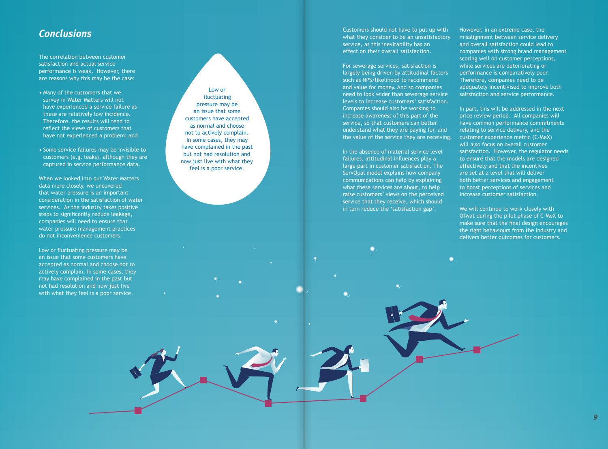#### *Conclusions*

The correlation between customer satisfaction and actual service performance is weak. However, there are reasons why this may be the case:

- Many of the customers that we survey in Water Matters will not have experienced a service failure as these are relatively low incidence. Therefore, the results will tend to reflect the views of customers that have not experienced a problem; and
- Some service failures may be invisible to customers (e.g. leaks), although they are captured in service performance data.

When we looked into our Water Matters data more closely, we uncovered that water pressure is an important consideration in the satisfaction of water services. As the industry takes positive steps to significantly reduce leakage, companies will need to ensure that water pressure management practices do not inconvenience customers.

Low or fluctuating pressure may be an issue that some customers have accepted as normal and choose not to actively complain. In some cases, they may have complained in the past but not had resolution and now just live with what they feel is a poor service.

Low or fluctuating pressure may be an issue that some customers have accepted as normal and choose not to actively complain. In some cases, they may have complained in the past but not had resolution and now just live with what they feel is a poor service.

Customers should not have to put up with what they consider to be an unsatisfactory service, as this inevitability has an effect on their overall satisfaction.

> In part, this will be addressed in the next price review period. All companies will have common performance commitments relating to service delivery, and the customer experience metric (C-MeX) will also focus on overall customer satisfaction. However, the regulator needs to ensure that the models are designed effectively and that the incentives are set at a level that will deliver both better services and engagement to boost perceptions of services and increase customer satisfaction.

We will continue to work closely with Ofwat during the pilot phase of C-MeX to make sure that the final design encourages the right behaviours from the industry and delivers better outcomes for customers.

For sewerage services, satisfaction is largely being driven by attitudinal factors such as NPS/likelihood to recommend and value for money. And so companies need to look wider than sewerage service levels to increase customers' satisfaction. Companies should also be working to increase awareness of this part of the service, so that customers can better understand what they are paying for, and the value of the service they are receiving.

In the absence of material service level failures, attitudinal influences play a large part in customer satisfaction. The ServQual model explains how company communications can help by explaining what these services are about, to help raise customers' views on the perceived service that they receive, which should in turn reduce the 'satisfaction gap'.

However, in an extreme case, the misalignment between service delivery and overall satisfaction could lead to companies with strong brand management scoring well on customer perceptions, while services are deteriorating or performance is comparatively poor. Therefore, companies need to be adequately incentivised to improve both satisfaction and service performance.

*9*